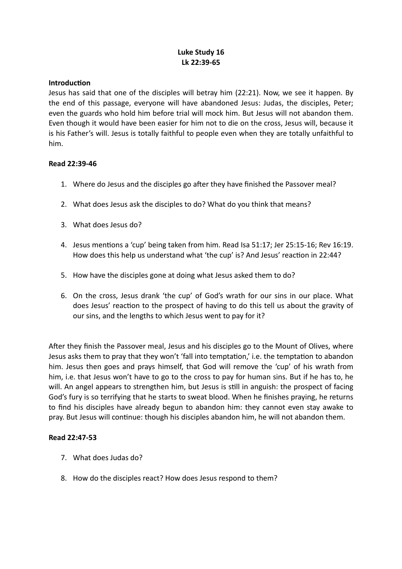# **Luke Study 16 Lk 22:39-65**

#### **Introduction**

Jesus has said that one of the disciples will betray him (22:21). Now, we see it happen. By the end of this passage, everyone will have abandoned Jesus: Judas, the disciples, Peter; even the guards who hold him before trial will mock him. But Jesus will not abandon them. Even though it would have been easier for him not to die on the cross, Jesus will, because it is his Father's will. Jesus is totally faithful to people even when they are totally unfaithful to him.

## **Read 22:39-46**

- 1. Where do Jesus and the disciples go after they have finished the Passover meal?
- 2. What does Jesus ask the disciples to do? What do you think that means?
- 3. What does Jesus do?
- 4. Jesus mentions a 'cup' being taken from him. Read Isa 51:17; Jer 25:15-16; Rev 16:19. How does this help us understand what 'the cup' is? And Jesus' reaction in 22:44?
- 5. How have the disciples gone at doing what Jesus asked them to do?
- 6. On the cross, Jesus drank 'the cup' of God's wrath for our sins in our place. What does Jesus' reaction to the prospect of having to do this tell us about the gravity of our sins, and the lengths to which Jesus went to pay for it?

After they finish the Passover meal, Jesus and his disciples go to the Mount of Olives, where Jesus asks them to pray that they won't 'fall into temptation,' i.e. the temptation to abandon him. Jesus then goes and prays himself, that God will remove the 'cup' of his wrath from him, i.e. that Jesus won't have to go to the cross to pay for human sins. But if he has to, he will. An angel appears to strengthen him, but Jesus is still in anguish: the prospect of facing God's fury is so terrifying that he starts to sweat blood. When he finishes praying, he returns to find his disciples have already begun to abandon him: they cannot even stay awake to pray. But Jesus will continue: though his disciples abandon him, he will not abandon them.

#### **Read 22:47-53**

- 7. What does Judas do?
- 8. How do the disciples react? How does Jesus respond to them?